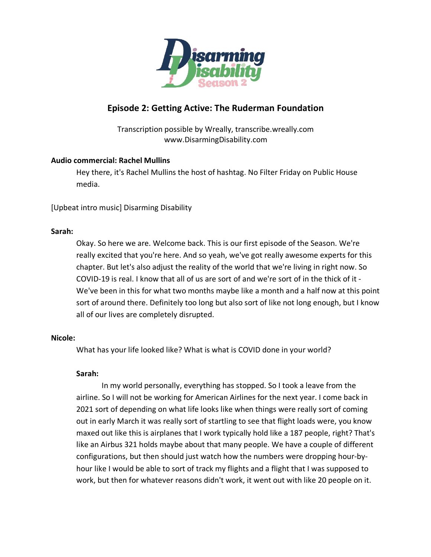

# **Episode 2: Getting Active: The Ruderman Foundation**

Transcription possible by Wreally, transcribe.wreally.com www.DisarmingDisability.com

## **Audio commercial: Rachel Mullins**

Hey there, it's Rachel Mullins the host of hashtag. No Filter Friday on Public House media.

[Upbeat intro music] Disarming Disability

## **Sarah:**

Okay. So here we are. Welcome back. This is our first episode of the Season. We're really excited that you're here. And so yeah, we've got really awesome experts for this chapter. But let's also adjust the reality of the world that we're living in right now. So COVID-19 is real. I know that all of us are sort of and we're sort of in the thick of it - We've been in this for what two months maybe like a month and a half now at this point sort of around there. Definitely too long but also sort of like not long enough, but I know all of our lives are completely disrupted.

## **Nicole:**

What has your life looked like? What is what is COVID done in your world?

## **Sarah:**

In my world personally, everything has stopped. So I took a leave from the airline. So I will not be working for American Airlines for the next year. I come back in 2021 sort of depending on what life looks like when things were really sort of coming out in early March it was really sort of startling to see that flight loads were, you know maxed out like this is airplanes that I work typically hold like a 187 people, right? That's like an Airbus 321 holds maybe about that many people. We have a couple of different configurations, but then should just watch how the numbers were dropping hour-byhour like I would be able to sort of track my flights and a flight that I was supposed to work, but then for whatever reasons didn't work, it went out with like 20 people on it.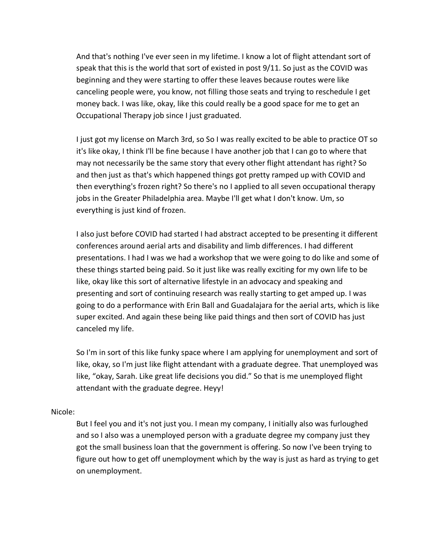And that's nothing I've ever seen in my lifetime. I know a lot of flight attendant sort of speak that this is the world that sort of existed in post 9/11. So just as the COVID was beginning and they were starting to offer these leaves because routes were like canceling people were, you know, not filling those seats and trying to reschedule I get money back. I was like, okay, like this could really be a good space for me to get an Occupational Therapy job since I just graduated.

I just got my license on March 3rd, so So I was really excited to be able to practice OT so it's like okay, I think I'll be fine because I have another job that I can go to where that may not necessarily be the same story that every other flight attendant has right? So and then just as that's which happened things got pretty ramped up with COVID and then everything's frozen right? So there's no I applied to all seven occupational therapy jobs in the Greater Philadelphia area. Maybe I'll get what I don't know. Um, so everything is just kind of frozen.

I also just before COVID had started I had abstract accepted to be presenting it different conferences around aerial arts and disability and limb differences. I had different presentations. I had I was we had a workshop that we were going to do like and some of these things started being paid. So it just like was really exciting for my own life to be like, okay like this sort of alternative lifestyle in an advocacy and speaking and presenting and sort of continuing research was really starting to get amped up. I was going to do a performance with Erin Ball and Guadalajara for the aerial arts, which is like super excited. And again these being like paid things and then sort of COVID has just canceled my life.

So I'm in sort of this like funky space where I am applying for unemployment and sort of like, okay, so I'm just like flight attendant with a graduate degree. That unemployed was like, "okay, Sarah. Like great life decisions you did." So that is me unemployed flight attendant with the graduate degree. Heyy!

## Nicole:

But I feel you and it's not just you. I mean my company, I initially also was furloughed and so I also was a unemployed person with a graduate degree my company just they got the small business loan that the government is offering. So now I've been trying to figure out how to get off unemployment which by the way is just as hard as trying to get on unemployment.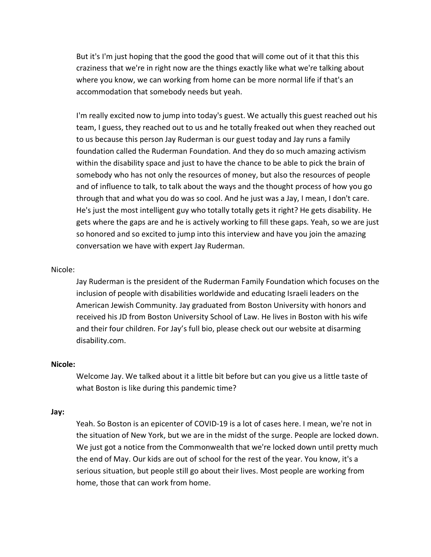But it's I'm just hoping that the good the good that will come out of it that this this craziness that we're in right now are the things exactly like what we're talking about where you know, we can working from home can be more normal life if that's an accommodation that somebody needs but yeah.

I'm really excited now to jump into today's guest. We actually this guest reached out his team, I guess, they reached out to us and he totally freaked out when they reached out to us because this person Jay Ruderman is our guest today and Jay runs a family foundation called the Ruderman Foundation. And they do so much amazing activism within the disability space and just to have the chance to be able to pick the brain of somebody who has not only the resources of money, but also the resources of people and of influence to talk, to talk about the ways and the thought process of how you go through that and what you do was so cool. And he just was a Jay, I mean, I don't care. He's just the most intelligent guy who totally totally gets it right? He gets disability. He gets where the gaps are and he is actively working to fill these gaps. Yeah, so we are just so honored and so excited to jump into this interview and have you join the amazing conversation we have with expert Jay Ruderman.

#### Nicole:

Jay Ruderman is the president of the Ruderman Family Foundation which focuses on the inclusion of people with disabilities worldwide and educating Israeli leaders on the American Jewish Community. Jay graduated from Boston University with honors and received his JD from Boston University School of Law. He lives in Boston with his wife and their four children. For Jay's full bio, please check out our website at disarming disability.com.

#### **Nicole:**

Welcome Jay. We talked about it a little bit before but can you give us a little taste of what Boston is like during this pandemic time?

#### **Jay:**

Yeah. So Boston is an epicenter of COVID-19 is a lot of cases here. I mean, we're not in the situation of New York, but we are in the midst of the surge. People are locked down. We just got a notice from the Commonwealth that we're locked down until pretty much the end of May. Our kids are out of school for the rest of the year. You know, it's a serious situation, but people still go about their lives. Most people are working from home, those that can work from home.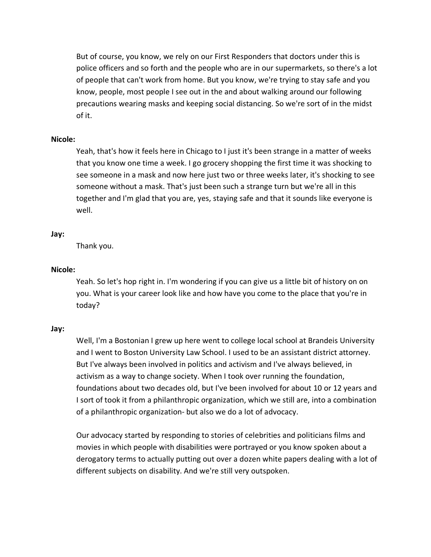But of course, you know, we rely on our First Responders that doctors under this is police officers and so forth and the people who are in our supermarkets, so there's a lot of people that can't work from home. But you know, we're trying to stay safe and you know, people, most people I see out in the and about walking around our following precautions wearing masks and keeping social distancing. So we're sort of in the midst of it.

### **Nicole:**

Yeah, that's how it feels here in Chicago to I just it's been strange in a matter of weeks that you know one time a week. I go grocery shopping the first time it was shocking to see someone in a mask and now here just two or three weeks later, it's shocking to see someone without a mask. That's just been such a strange turn but we're all in this together and I'm glad that you are, yes, staying safe and that it sounds like everyone is well.

## **Jay:**

Thank you.

### **Nicole:**

Yeah. So let's hop right in. I'm wondering if you can give us a little bit of history on on you. What is your career look like and how have you come to the place that you're in today?

#### **Jay:**

Well, I'm a Bostonian I grew up here went to college local school at Brandeis University and I went to Boston University Law School. I used to be an assistant district attorney. But I've always been involved in politics and activism and I've always believed, in activism as a way to change society. When I took over running the foundation, foundations about two decades old, but I've been involved for about 10 or 12 years and I sort of took it from a philanthropic organization, which we still are, into a combination of a philanthropic organization- but also we do a lot of advocacy.

Our advocacy started by responding to stories of celebrities and politicians films and movies in which people with disabilities were portrayed or you know spoken about a derogatory terms to actually putting out over a dozen white papers dealing with a lot of different subjects on disability. And we're still very outspoken.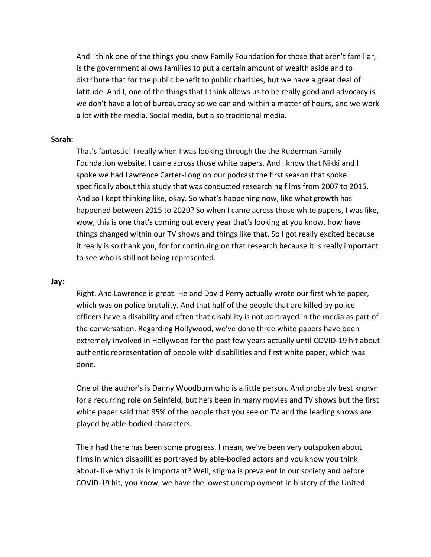And I think one of the things you know Family Foundation for those that aren't familiar, is the government allows families to put a certain amount of wealth aside and to distribute that for the public benefit to public charities, but we have a great deal of latitude. And I, one of the things that I think allows us to be really good and advocacy is we don't have a lot of bureaucracy so we can and within a matter of hours, and we work a lot with the media. Social media, but also traditional media.

#### **Sarah:**

That's fantastic! I really when I was looking through the the Ruderman Family Foundation website. I came across those white papers. And I know that Nikki and I spoke we had Lawrence Carter-Long on our podcast the first season that spoke specifically about this study that was conducted researching films from 2007 to 2015. And so I kept thinking like, okay. So what's happening now, like what growth has happened between 2015 to 2020? So when I came across those white papers, I was like, wow, this is one that's coming out every year that's looking at you know, how have things changed within our TV shows and things like that. So I got really excited because it really is so thank you, for for continuing on that research because it is really important to see who is still not being represented.

#### **Jay:**

Right. And Lawrence is great. He and David Perry actually wrote our first white paper, which was on police brutality. And that half of the people that are killed by police officers have a disability and often that disability is not portrayed in the media as part of the conversation. Regarding Hollywood, we've done three white papers have been extremely involved in Hollywood for the past few years actually until COVID-19 hit about authentic representation of people with disabilities and first white paper, which was done.

One of the author's is Danny Woodburn who is a little person. And probably best known for a recurring role on Seinfeld, but he's been in many movies and TV shows but the first white paper said that 95% of the people that you see on TV and the leading shows are played by able-bodied characters.

Their had there has been some progress. I mean, we've been very outspoken about films in which disabilities portrayed by able-bodied actors and you know you think about- like why this is important? Well, stigma is prevalent in our society and before COVID-19 hit, you know, we have the lowest unemployment in history of the United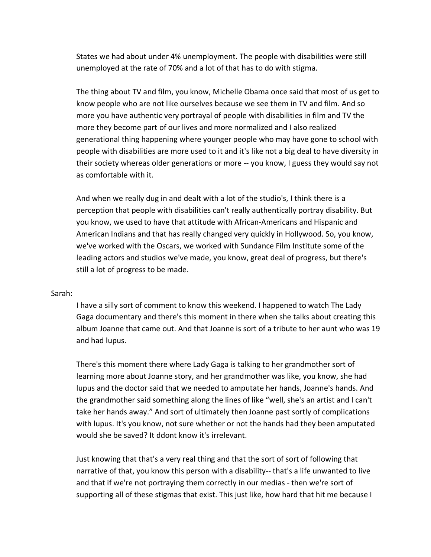States we had about under 4% unemployment. The people with disabilities were still unemployed at the rate of 70% and a lot of that has to do with stigma.

The thing about TV and film, you know, Michelle Obama once said that most of us get to know people who are not like ourselves because we see them in TV and film. And so more you have authentic very portrayal of people with disabilities in film and TV the more they become part of our lives and more normalized and I also realized generational thing happening where younger people who may have gone to school with people with disabilities are more used to it and it's like not a big deal to have diversity in their society whereas older generations or more -- you know, I guess they would say not as comfortable with it.

And when we really dug in and dealt with a lot of the studio's, I think there is a perception that people with disabilities can't really authentically portray disability. But you know, we used to have that attitude with African-Americans and Hispanic and American Indians and that has really changed very quickly in Hollywood. So, you know, we've worked with the Oscars, we worked with Sundance Film Institute some of the leading actors and studios we've made, you know, great deal of progress, but there's still a lot of progress to be made.

#### Sarah:

I have a silly sort of comment to know this weekend. I happened to watch The Lady Gaga documentary and there's this moment in there when she talks about creating this album Joanne that came out. And that Joanne is sort of a tribute to her aunt who was 19 and had lupus.

There's this moment there where Lady Gaga is talking to her grandmother sort of learning more about Joanne story, and her grandmother was like, you know, she had lupus and the doctor said that we needed to amputate her hands, Joanne's hands. And the grandmother said something along the lines of like "well, she's an artist and I can't take her hands away." And sort of ultimately then Joanne past sortly of complications with lupus. It's you know, not sure whether or not the hands had they been amputated would she be saved? It ddont know it's irrelevant.

Just knowing that that's a very real thing and that the sort of sort of following that narrative of that, you know this person with a disability-- that's a life unwanted to live and that if we're not portraying them correctly in our medias - then we're sort of supporting all of these stigmas that exist. This just like, how hard that hit me because I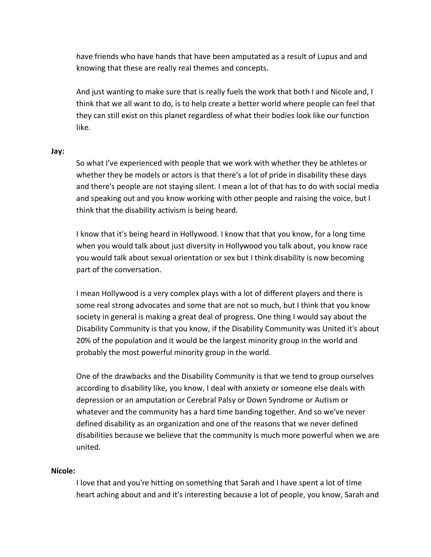have friends who have hands that have been amputated as a result of Lupus and and knowing that these are really real themes and concepts.

And just wanting to make sure that is really fuels the work that both I and Nicole and, I think that we all want to do, is to help create a better world where people can feel that they can still exist on this planet regardless of what their bodies look like our function like.

#### **Jay:**

So what I've experienced with people that we work with whether they be athletes or whether they be models or actors is that there's a lot of pride in disability these days and there's people are not staying silent. I mean a lot of that has to do with social media and speaking out and you know working with other people and raising the voice, but I think that the disability activism is being heard.

I know that it's being heard in Hollywood. I know that that you know, for a long time when you would talk about just diversity in Hollywood you talk about, you know race you would talk about sexual orientation or sex but I think disability is now becoming part of the conversation.

I mean Hollywood is a very complex plays with a lot of different players and there is some real strong advocates and some that are not so much, but I think that you know society in general is making a great deal of progress. One thing I would say about the Disability Community is that you know, if the Disability Community was United it's about 20% of the population and it would be the largest minority group in the world and probably the most powerful minority group in the world.

One of the drawbacks and the Disability Community is that we tend to group ourselves according to disability like, you know, I deal with anxiety or someone else deals with depression or an amputation or Cerebral Palsy or Down Syndrome or Autism or whatever and the community has a hard time banding together. And so we've never defined disability as an organization and one of the reasons that we never defined disabilities because we believe that the community is much more powerful when we are united.

#### **Nicole:**

I love that and you're hitting on something that Sarah and I have spent a lot of time heart aching about and and it's interesting because a lot of people, you know, Sarah and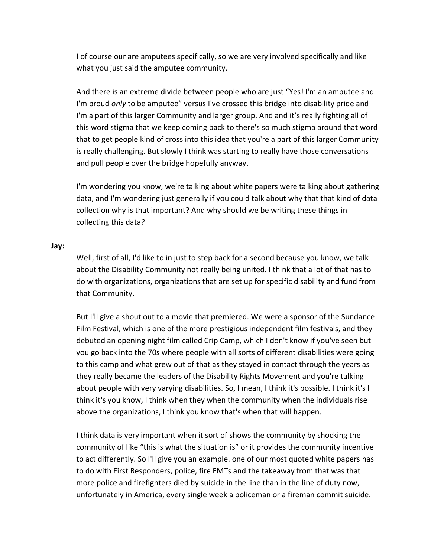I of course our are amputees specifically, so we are very involved specifically and like what you just said the amputee community.

And there is an extreme divide between people who are just "Yes! I'm an amputee and I'm proud *only* to be amputee" versus I've crossed this bridge into disability pride and I'm a part of this larger Community and larger group. And and it's really fighting all of this word stigma that we keep coming back to there's so much stigma around that word that to get people kind of cross into this idea that you're a part of this larger Community is really challenging. But slowly I think was starting to really have those conversations and pull people over the bridge hopefully anyway.

I'm wondering you know, we're talking about white papers were talking about gathering data, and I'm wondering just generally if you could talk about why that that kind of data collection why is that important? And why should we be writing these things in collecting this data?

#### **Jay:**

Well, first of all, I'd like to in just to step back for a second because you know, we talk about the Disability Community not really being united. I think that a lot of that has to do with organizations, organizations that are set up for specific disability and fund from that Community.

But I'll give a shout out to a movie that premiered. We were a sponsor of the Sundance Film Festival, which is one of the more prestigious independent film festivals, and they debuted an opening night film called Crip Camp, which I don't know if you've seen but you go back into the 70s where people with all sorts of different disabilities were going to this camp and what grew out of that as they stayed in contact through the years as they really became the leaders of the Disability Rights Movement and you're talking about people with very varying disabilities. So, I mean, I think it's possible. I think it's I think it's you know, I think when they when the community when the individuals rise above the organizations, I think you know that's when that will happen.

I think data is very important when it sort of shows the community by shocking the community of like "this is what the situation is" or it provides the community incentive to act differently. So I'll give you an example. one of our most quoted white papers has to do with First Responders, police, fire EMTs and the takeaway from that was that more police and firefighters died by suicide in the line than in the line of duty now, unfortunately in America, every single week a policeman or a fireman commit suicide.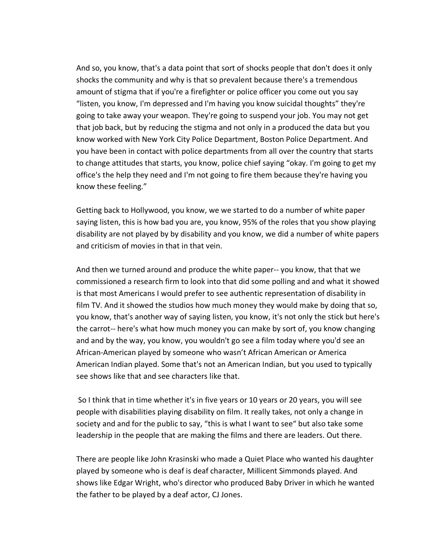And so, you know, that's a data point that sort of shocks people that don't does it only shocks the community and why is that so prevalent because there's a tremendous amount of stigma that if you're a firefighter or police officer you come out you say "listen, you know, I'm depressed and I'm having you know suicidal thoughts" they're going to take away your weapon. They're going to suspend your job. You may not get that job back, but by reducing the stigma and not only in a produced the data but you know worked with New York City Police Department, Boston Police Department. And you have been in contact with police departments from all over the country that starts to change attitudes that starts, you know, police chief saying "okay. I'm going to get my office's the help they need and I'm not going to fire them because they're having you know these feeling."

Getting back to Hollywood, you know, we we started to do a number of white paper saying listen, this is how bad you are, you know, 95% of the roles that you show playing disability are not played by by disability and you know, we did a number of white papers and criticism of movies in that in that vein.

And then we turned around and produce the white paper-- you know, that that we commissioned a research firm to look into that did some polling and and what it showed is that most Americans I would prefer to see authentic representation of disability in film TV. And it showed the studios how much money they would make by doing that so, you know, that's another way of saying listen, you know, it's not only the stick but here's the carrot-- here's what how much money you can make by sort of, you know changing and and by the way, you know, you wouldn't go see a film today where you'd see an African-American played by someone who wasn't African American or America American Indian played. Some that's not an American Indian, but you used to typically see shows like that and see characters like that.

So I think that in time whether it's in five years or 10 years or 20 years, you will see people with disabilities playing disability on film. It really takes, not only a change in society and and for the public to say, "this is what I want to see" but also take some leadership in the people that are making the films and there are leaders. Out there.

There are people like John Krasinski who made a Quiet Place who wanted his daughter played by someone who is deaf is deaf character, Millicent Simmonds played. And shows like Edgar Wright, who's director who produced Baby Driver in which he wanted the father to be played by a deaf actor, CJ Jones.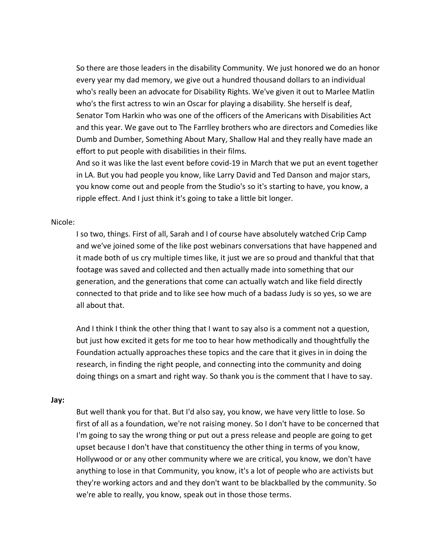So there are those leaders in the disability Community. We just honored we do an honor every year my dad memory, we give out a hundred thousand dollars to an individual who's really been an advocate for Disability Rights. We've given it out to Marlee Matlin who's the first actress to win an Oscar for playing a disability. She herself is deaf, Senator Tom Harkin who was one of the officers of the Americans with Disabilities Act and this year. We gave out to The Farrlley brothers who are directors and Comedies like Dumb and Dumber, Something About Mary, Shallow Hal and they really have made an effort to put people with disabilities in their films.

And so it was like the last event before covid-19 in March that we put an event together in LA. But you had people you know, like Larry David and Ted Danson and major stars, you know come out and people from the Studio's so it's starting to have, you know, a ripple effect. And I just think it's going to take a little bit longer.

#### Nicole:

I so two, things. First of all, Sarah and I of course have absolutely watched Crip Camp and we've joined some of the like post webinars conversations that have happened and it made both of us cry multiple times like, it just we are so proud and thankful that that footage was saved and collected and then actually made into something that our generation, and the generations that come can actually watch and like field directly connected to that pride and to like see how much of a badass Judy is so yes, so we are all about that.

And I think I think the other thing that I want to say also is a comment not a question, but just how excited it gets for me too to hear how methodically and thoughtfully the Foundation actually approaches these topics and the care that it gives in in doing the research, in finding the right people, and connecting into the community and doing doing things on a smart and right way. So thank you is the comment that I have to say.

#### **Jay:**

But well thank you for that. But I'd also say, you know, we have very little to lose. So first of all as a foundation, we're not raising money. So I don't have to be concerned that I'm going to say the wrong thing or put out a press release and people are going to get upset because I don't have that constituency the other thing in terms of you know, Hollywood or or any other community where we are critical, you know, we don't have anything to lose in that Community, you know, it's a lot of people who are activists but they're working actors and and they don't want to be blackballed by the community. So we're able to really, you know, speak out in those those terms.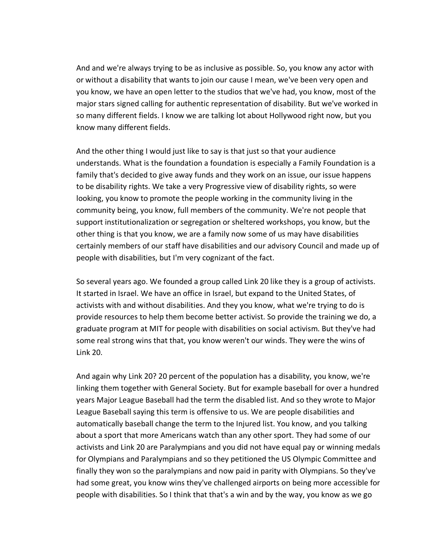And and we're always trying to be as inclusive as possible. So, you know any actor with or without a disability that wants to join our cause I mean, we've been very open and you know, we have an open letter to the studios that we've had, you know, most of the major stars signed calling for authentic representation of disability. But we've worked in so many different fields. I know we are talking lot about Hollywood right now, but you know many different fields.

And the other thing I would just like to say is that just so that your audience understands. What is the foundation a foundation is especially a Family Foundation is a family that's decided to give away funds and they work on an issue, our issue happens to be disability rights. We take a very Progressive view of disability rights, so were looking, you know to promote the people working in the community living in the community being, you know, full members of the community. We're not people that support institutionalization or segregation or sheltered workshops, you know, but the other thing is that you know, we are a family now some of us may have disabilities certainly members of our staff have disabilities and our advisory Council and made up of people with disabilities, but I'm very cognizant of the fact.

So several years ago. We founded a group called Link 20 like they is a group of activists. It started in Israel. We have an office in Israel, but expand to the United States, of activists with and without disabilities. And they you know, what we're trying to do is provide resources to help them become better activist. So provide the training we do, a graduate program at MIT for people with disabilities on social activism. But they've had some real strong wins that that, you know weren't our winds. They were the wins of Link 20.

And again why Link 20? 20 percent of the population has a disability, you know, we're linking them together with General Society. But for example baseball for over a hundred years Major League Baseball had the term the disabled list. And so they wrote to Major League Baseball saying this term is offensive to us. We are people disabilities and automatically baseball change the term to the Injured list. You know, and you talking about a sport that more Americans watch than any other sport. They had some of our activists and Link 20 are Paralympians and you did not have equal pay or winning medals for Olympians and Paralympians and so they petitioned the US Olympic Committee and finally they won so the paralympians and now paid in parity with Olympians. So they've had some great, you know wins they've challenged airports on being more accessible for people with disabilities. So I think that that's a win and by the way, you know as we go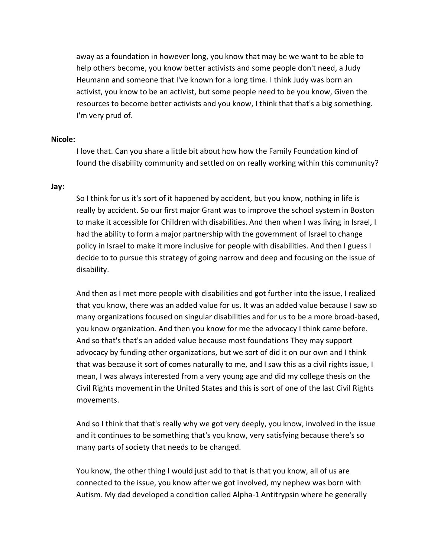away as a foundation in however long, you know that may be we want to be able to help others become, you know better activists and some people don't need, a Judy Heumann and someone that I've known for a long time. I think Judy was born an activist, you know to be an activist, but some people need to be you know, Given the resources to become better activists and you know, I think that that's a big something. I'm very prud of.

#### **Nicole:**

I love that. Can you share a little bit about how how the Family Foundation kind of found the disability community and settled on on really working within this community?

#### **Jay:**

So I think for us it's sort of it happened by accident, but you know, nothing in life is really by accident. So our first major Grant was to improve the school system in Boston to make it accessible for Children with disabilities. And then when I was living in Israel, I had the ability to form a major partnership with the government of Israel to change policy in Israel to make it more inclusive for people with disabilities. And then I guess I decide to to pursue this strategy of going narrow and deep and focusing on the issue of disability.

And then as I met more people with disabilities and got further into the issue, I realized that you know, there was an added value for us. It was an added value because I saw so many organizations focused on singular disabilities and for us to be a more broad-based, you know organization. And then you know for me the advocacy I think came before. And so that's that's an added value because most foundations They may support advocacy by funding other organizations, but we sort of did it on our own and I think that was because it sort of comes naturally to me, and I saw this as a civil rights issue, I mean, I was always interested from a very young age and did my college thesis on the Civil Rights movement in the United States and this is sort of one of the last Civil Rights movements.

And so I think that that's really why we got very deeply, you know, involved in the issue and it continues to be something that's you know, very satisfying because there's so many parts of society that needs to be changed.

You know, the other thing I would just add to that is that you know, all of us are connected to the issue, you know after we got involved, my nephew was born with Autism. My dad developed a condition called Alpha-1 Antitrypsin where he generally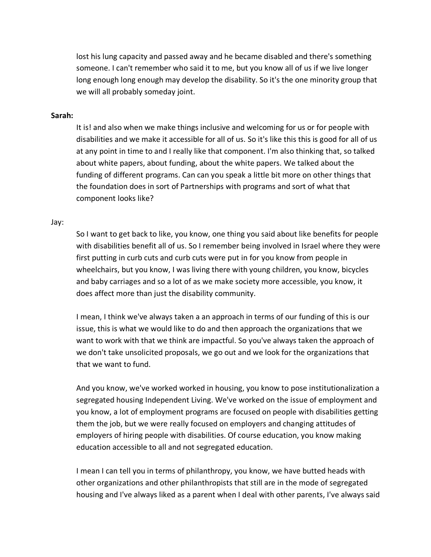lost his lung capacity and passed away and he became disabled and there's something someone. I can't remember who said it to me, but you know all of us if we live longer long enough long enough may develop the disability. So it's the one minority group that we will all probably someday joint.

#### **Sarah:**

It is! and also when we make things inclusive and welcoming for us or for people with disabilities and we make it accessible for all of us. So it's like this this is good for all of us at any point in time to and I really like that component. I'm also thinking that, so talked about white papers, about funding, about the white papers. We talked about the funding of different programs. Can can you speak a little bit more on other things that the foundation does in sort of Partnerships with programs and sort of what that component looks like?

#### Jay:

So I want to get back to like, you know, one thing you said about like benefits for people with disabilities benefit all of us. So I remember being involved in Israel where they were first putting in curb cuts and curb cuts were put in for you know from people in wheelchairs, but you know, I was living there with young children, you know, bicycles and baby carriages and so a lot of as we make society more accessible, you know, it does affect more than just the disability community.

I mean, I think we've always taken a an approach in terms of our funding of this is our issue, this is what we would like to do and then approach the organizations that we want to work with that we think are impactful. So you've always taken the approach of we don't take unsolicited proposals, we go out and we look for the organizations that that we want to fund.

And you know, we've worked worked in housing, you know to pose institutionalization a segregated housing Independent Living. We've worked on the issue of employment and you know, a lot of employment programs are focused on people with disabilities getting them the job, but we were really focused on employers and changing attitudes of employers of hiring people with disabilities. Of course education, you know making education accessible to all and not segregated education.

I mean I can tell you in terms of philanthropy, you know, we have butted heads with other organizations and other philanthropists that still are in the mode of segregated housing and I've always liked as a parent when I deal with other parents, I've always said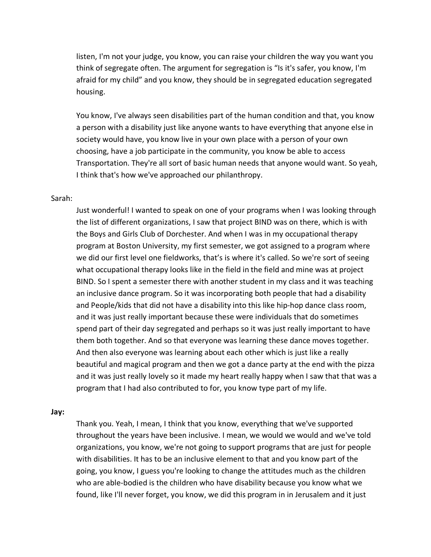listen, I'm not your judge, you know, you can raise your children the way you want you think of segregate often. The argument for segregation is "Is it's safer, you know, I'm afraid for my child" and you know, they should be in segregated education segregated housing.

You know, I've always seen disabilities part of the human condition and that, you know a person with a disability just like anyone wants to have everything that anyone else in society would have, you know live in your own place with a person of your own choosing, have a job participate in the community, you know be able to access Transportation. They're all sort of basic human needs that anyone would want. So yeah, I think that's how we've approached our philanthropy.

#### Sarah:

Just wonderful! I wanted to speak on one of your programs when I was looking through the list of different organizations, I saw that project BIND was on there, which is with the Boys and Girls Club of Dorchester. And when I was in my occupational therapy program at Boston University, my first semester, we got assigned to a program where we did our first level one fieldworks, that's is where it's called. So we're sort of seeing what occupational therapy looks like in the field in the field and mine was at project BIND. So I spent a semester there with another student in my class and it was teaching an inclusive dance program. So it was incorporating both people that had a disability and People/kids that did not have a disability into this like hip-hop dance class room, and it was just really important because these were individuals that do sometimes spend part of their day segregated and perhaps so it was just really important to have them both together. And so that everyone was learning these dance moves together. And then also everyone was learning about each other which is just like a really beautiful and magical program and then we got a dance party at the end with the pizza and it was just really lovely so it made my heart really happy when I saw that that was a program that I had also contributed to for, you know type part of my life.

#### **Jay:**

Thank you. Yeah, I mean, I think that you know, everything that we've supported throughout the years have been inclusive. I mean, we would we would and we've told organizations, you know, we're not going to support programs that are just for people with disabilities. It has to be an inclusive element to that and you know part of the going, you know, I guess you're looking to change the attitudes much as the children who are able-bodied is the children who have disability because you know what we found, like I'll never forget, you know, we did this program in in Jerusalem and it just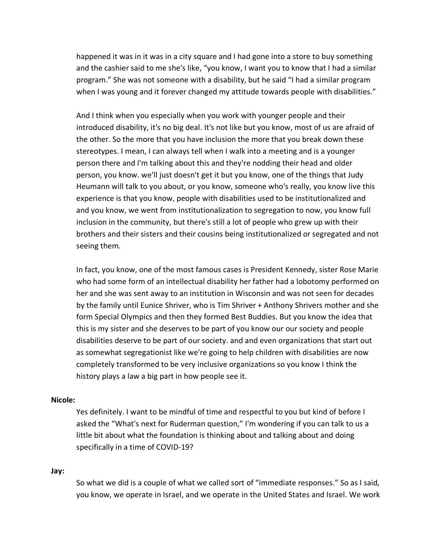happened it was in it was in a city square and I had gone into a store to buy something and the cashier said to me she's like, "you know, I want you to know that I had a similar program." She was not someone with a disability, but he said "I had a similar program when I was young and it forever changed my attitude towards people with disabilities."

And I think when you especially when you work with younger people and their introduced disability, it's no big deal. It's not like but you know, most of us are afraid of the other. So the more that you have inclusion the more that you break down these stereotypes. I mean, I can always tell when I walk into a meeting and is a younger person there and I'm talking about this and they're nodding their head and older person, you know. we'll just doesn't get it but you know, one of the things that Judy Heumann will talk to you about, or you know, someone who's really, you know live this experience is that you know, people with disabilities used to be institutionalized and and you know, we went from institutionalization to segregation to now, you know full inclusion in the community, but there's still a lot of people who grew up with their brothers and their sisters and their cousins being institutionalized or segregated and not seeing them.

In fact, you know, one of the most famous cases is President Kennedy, sister Rose Marie who had some form of an intellectual disability her father had a lobotomy performed on her and she was sent away to an institution in Wisconsin and was not seen for decades by the family until Eunice Shriver, who is Tim Shriver + Anthony Shrivers mother and she form Special Olympics and then they formed Best Buddies. But you know the idea that this is my sister and she deserves to be part of you know our our society and people disabilities deserve to be part of our society. and and even organizations that start out as somewhat segregationist like we're going to help children with disabilities are now completely transformed to be very inclusive organizations so you know I think the history plays a law a big part in how people see it.

#### **Nicole:**

Yes definitely. I want to be mindful of time and respectful to you but kind of before I asked the "What's next for Ruderman question," I'm wondering if you can talk to us a little bit about what the foundation is thinking about and talking about and doing specifically in a time of COVID-19?

#### **Jay:**

So what we did is a couple of what we called sort of "immediate responses." So as I said, you know, we operate in Israel, and we operate in the United States and Israel. We work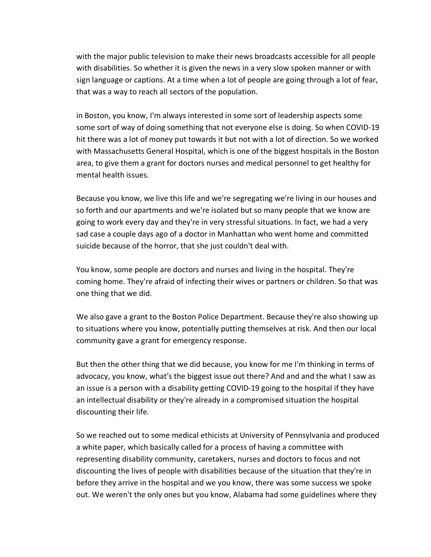with the major public television to make their news broadcasts accessible for all people with disabilities. So whether it is given the news in a very slow spoken manner or with sign language or captions. At a time when a lot of people are going through a lot of fear, that was a way to reach all sectors of the population.

in Boston, you know, I'm always interested in some sort of leadership aspects some some sort of way of doing something that not everyone else is doing. So when COVID-19 hit there was a lot of money put towards it but not with a lot of direction. So we worked with Massachusetts General Hospital, which is one of the biggest hospitals in the Boston area, to give them a grant for doctors nurses and medical personnel to get healthy for mental health issues.

Because you know, we live this life and we're segregating we're living in our houses and so forth and our apartments and we're isolated but so many people that we know are going to work every day and they're in very stressful situations. In fact, we had a very sad case a couple days ago of a doctor in Manhattan who went home and committed suicide because of the horror, that she just couldn't deal with.

You know, some people are doctors and nurses and living in the hospital. They're coming home. They're afraid of infecting their wives or partners or children. So that was one thing that we did.

We also gave a grant to the Boston Police Department. Because they're also showing up to situations where you know, potentially putting themselves at risk. And then our local community gave a grant for emergency response.

But then the other thing that we did because, you know for me I'm thinking in terms of advocacy, you know, what's the biggest issue out there? And and and the what I saw as an issue is a person with a disability getting COVID-19 going to the hospital if they have an intellectual disability or they're already in a compromised situation the hospital discounting their life.

So we reached out to some medical ethicists at University of Pennsylvania and produced a white paper, which basically called for a process of having a committee with representing disability community, caretakers, nurses and doctors to focus and not discounting the lives of people with disabilities because of the situation that they're in before they arrive in the hospital and we you know, there was some success we spoke out. We weren't the only ones but you know, Alabama had some guidelines where they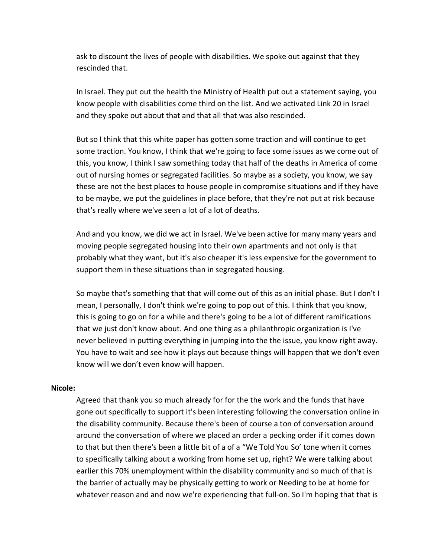ask to discount the lives of people with disabilities. We spoke out against that they rescinded that.

In Israel. They put out the health the Ministry of Health put out a statement saying, you know people with disabilities come third on the list. And we activated Link 20 in Israel and they spoke out about that and that all that was also rescinded.

But so I think that this white paper has gotten some traction and will continue to get some traction. You know, I think that we're going to face some issues as we come out of this, you know, I think I saw something today that half of the deaths in America of come out of nursing homes or segregated facilities. So maybe as a society, you know, we say these are not the best places to house people in compromise situations and if they have to be maybe, we put the guidelines in place before, that they're not put at risk because that's really where we've seen a lot of a lot of deaths.

And and you know, we did we act in Israel. We've been active for many many years and moving people segregated housing into their own apartments and not only is that probably what they want, but it's also cheaper it's less expensive for the government to support them in these situations than in segregated housing.

So maybe that's something that that will come out of this as an initial phase. But I don't I mean, I personally, I don't think we're going to pop out of this. I think that you know, this is going to go on for a while and there's going to be a lot of different ramifications that we just don't know about. And one thing as a philanthropic organization is I've never believed in putting everything in jumping into the the issue, you know right away. You have to wait and see how it plays out because things will happen that we don't even know will we don't even know will happen.

#### **Nicole:**

Agreed that thank you so much already for for the the work and the funds that have gone out specifically to support it's been interesting following the conversation online in the disability community. Because there's been of course a ton of conversation around around the conversation of where we placed an order a pecking order if it comes down to that but then there's been a little bit of a of a "We Told You So' tone when it comes to specifically talking about a working from home set up, right? We were talking about earlier this 70% unemployment within the disability community and so much of that is the barrier of actually may be physically getting to work or Needing to be at home for whatever reason and and now we're experiencing that full-on. So I'm hoping that that is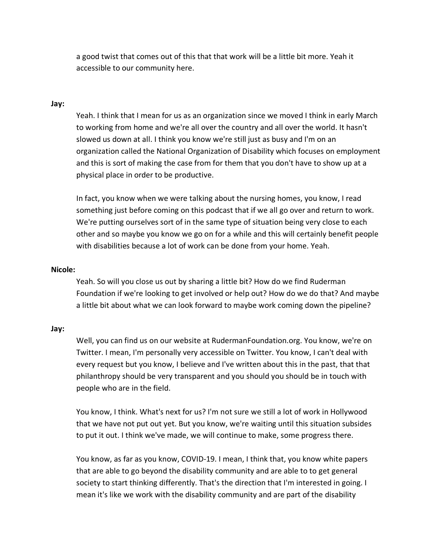a good twist that comes out of this that that work will be a little bit more. Yeah it accessible to our community here.

### **Jay:**

Yeah. I think that I mean for us as an organization since we moved I think in early March to working from home and we're all over the country and all over the world. It hasn't slowed us down at all. I think you know we're still just as busy and I'm on an organization called the National Organization of Disability which focuses on employment and this is sort of making the case from for them that you don't have to show up at a physical place in order to be productive.

In fact, you know when we were talking about the nursing homes, you know, I read something just before coming on this podcast that if we all go over and return to work. We're putting ourselves sort of in the same type of situation being very close to each other and so maybe you know we go on for a while and this will certainly benefit people with disabilities because a lot of work can be done from your home. Yeah.

#### **Nicole:**

Yeah. So will you close us out by sharing a little bit? How do we find Ruderman Foundation if we're looking to get involved or help out? How do we do that? And maybe a little bit about what we can look forward to maybe work coming down the pipeline?

#### **Jay:**

Well, you can find us on our website at RudermanFoundation.org. You know, we're on Twitter. I mean, I'm personally very accessible on Twitter. You know, I can't deal with every request but you know, I believe and I've written about this in the past, that that philanthropy should be very transparent and you should you should be in touch with people who are in the field.

You know, I think. What's next for us? I'm not sure we still a lot of work in Hollywood that we have not put out yet. But you know, we're waiting until this situation subsides to put it out. I think we've made, we will continue to make, some progress there.

You know, as far as you know, COVID-19. I mean, I think that, you know white papers that are able to go beyond the disability community and are able to to get general society to start thinking differently. That's the direction that I'm interested in going. I mean it's like we work with the disability community and are part of the disability